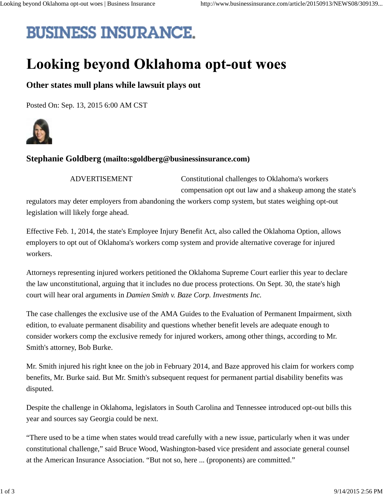## **BUSINESS INSURANCE.**

## **Looking beyond Oklahoma opt-out woes**

## **Other states mull plans while lawsuit plays out**

Posted On: Sep. 13, 2015 6:00 AM CST



## **Stephanie Goldberg (mailto:sgoldberg@businessinsurance.com)**

ADVERTISEMENT

Constitutional challenges to Oklahoma's workers compensation opt out law and a shakeup among the state's

regulators may deter employers from abandoning the workers comp system, but states weighing opt-out legislation will likely forge ahead.

Effective Feb. 1, 2014, the state's Employee Injury Benefit Act, also called the Oklahoma Option, allows employers to opt out of Oklahoma's workers comp system and provide alternative coverage for injured workers.

Attorneys representing injured workers petitioned the Oklahoma Supreme Court earlier this year to declare the law unconstitutional, arguing that it includes no due process protections. On Sept. 30, the state's high court will hear oral arguments in *Damien Smith v. Baze Corp. Investments Inc.*

The case challenges the exclusive use of the AMA Guides to the Evaluation of Permanent Impairment, sixth edition, to evaluate permanent disability and questions whether benefit levels are adequate enough to consider workers comp the exclusive remedy for injured workers, among other things, according to Mr. Smith's attorney, Bob Burke.

Mr. Smith injured his right knee on the job in February 2014, and Baze approved his claim for workers comp benefits, Mr. Burke said. But Mr. Smith's subsequent request for permanent partial disability benefits was disputed.

Despite the challenge in Oklahoma, legislators in South Carolina and Tennessee introduced opt-out bills this year and sources say Georgia could be next.

"There used to be a time when states would tread carefully with a new issue, particularly when it was under constitutional challenge," said Bruce Wood, Washington-based vice president and associate general counsel at the American Insurance Association. "But not so, here ... (proponents) are committed."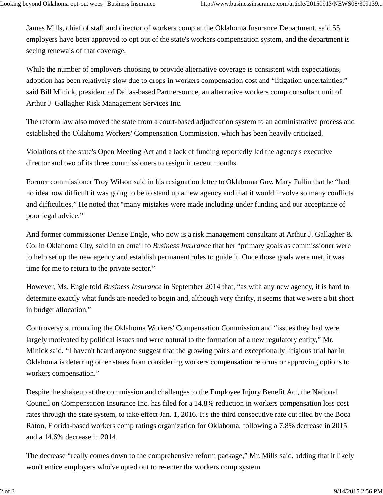James Mills, chief of staff and director of workers comp at the Oklahoma Insurance Department, said 55 employers have been approved to opt out of the state's workers compensation system, and the department is seeing renewals of that coverage.

While the number of employers choosing to provide alternative coverage is consistent with expectations, adoption has been relatively slow due to drops in workers compensation cost and "litigation uncertainties," said Bill Minick, president of Dallas-based Partnersource, an alternative workers comp consultant unit of Arthur J. Gallagher Risk Management Services Inc.

The reform law also moved the state from a court-based adjudication system to an administrative process and established the Oklahoma Workers' Compensation Commission, which has been heavily criticized.

Violations of the state's Open Meeting Act and a lack of funding reportedly led the agency's executive director and two of its three commissioners to resign in recent months.

Former commissioner Troy Wilson said in his resignation letter to Oklahoma Gov. Mary Fallin that he "had no idea how difficult it was going to be to stand up a new agency and that it would involve so many conflicts and difficulties." He noted that "many mistakes were made including under funding and our acceptance of poor legal advice."

And former commissioner Denise Engle, who now is a risk management consultant at Arthur J. Gallagher & Co. in Oklahoma City, said in an email to *Business Insurance* that her "primary goals as commissioner were to help set up the new agency and establish permanent rules to guide it. Once those goals were met, it was time for me to return to the private sector."

However, Ms. Engle told *Business Insurance* in September 2014 that, "as with any new agency, it is hard to determine exactly what funds are needed to begin and, although very thrifty, it seems that we were a bit short in budget allocation."

Controversy surrounding the Oklahoma Workers' Compensation Commission and "issues they had were largely motivated by political issues and were natural to the formation of a new regulatory entity," Mr. Minick said. "I haven't heard anyone suggest that the growing pains and exceptionally litigious trial bar in Oklahoma is deterring other states from considering workers compensation reforms or approving options to workers compensation."

Despite the shakeup at the commission and challenges to the Employee Injury Benefit Act, the National Council on Compensation Insurance Inc. has filed for a 14.8% reduction in workers compensation loss cost rates through the state system, to take effect Jan. 1, 2016. It's the third consecutive rate cut filed by the Boca Raton, Florida-based workers comp ratings organization for Oklahoma, following a 7.8% decrease in 2015 and a 14.6% decrease in 2014.

The decrease "really comes down to the comprehensive reform package," Mr. Mills said, adding that it likely won't entice employers who've opted out to re-enter the workers comp system.